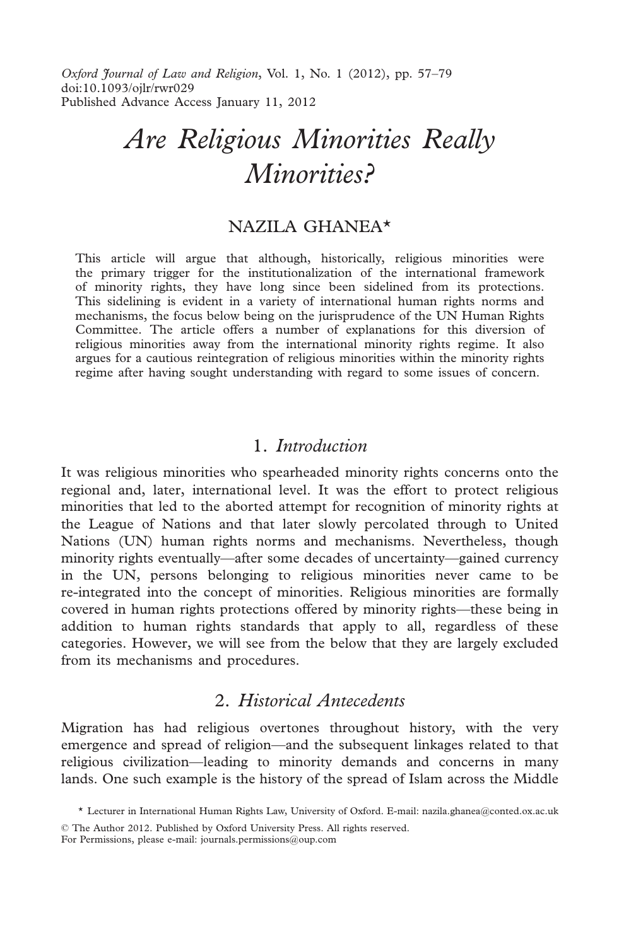Oxford Journal of Law and Religion, Vol. 1, No. 1 (2012), pp. 57–79 doi:10.1093/ojlr/rwr029 Published Advance Access January 11, 2012

# Are Religious Minorities Really Minorities?

# NAZILA GHANEA\*

This article will argue that although, historically, religious minorities were the primary trigger for the institutionalization of the international framework of minority rights, they have long since been sidelined from its protections. This sidelining is evident in a variety of international human rights norms and mechanisms, the focus below being on the jurisprudence of the UN Human Rights Committee. The article offers a number of explanations for this diversion of religious minorities away from the international minority rights regime. It also argues for a cautious reintegration of religious minorities within the minority rights regime after having sought understanding with regard to some issues of concern.

## 1. Introduction

It was religious minorities who spearheaded minority rights concerns onto the regional and, later, international level. It was the effort to protect religious minorities that led to the aborted attempt for recognition of minority rights at the League of Nations and that later slowly percolated through to United Nations (UN) human rights norms and mechanisms. Nevertheless, though minority rights eventually—after some decades of uncertainty—gained currency in the UN, persons belonging to religious minorities never came to be re-integrated into the concept of minorities. Religious minorities are formally covered in human rights protections offered by minority rights—these being in addition to human rights standards that apply to all, regardless of these categories. However, we will see from the below that they are largely excluded from its mechanisms and procedures.

# 2. Historical Antecedents

Migration has had religious overtones throughout history, with the very emergence and spread of religion—and the subsequent linkages related to that religious civilization—leading to minority demands and concerns in many lands. One such example is the history of the spread of Islam across the Middle

© The Author 2012. Published by Oxford University Press. All rights reserved. For Permissions, please e-mail: journals.permissions@oup.com

<sup>\*</sup> Lecturer in International Human Rights Law, University of Oxford. E-mail: nazila.ghanea@conted.ox.ac.uk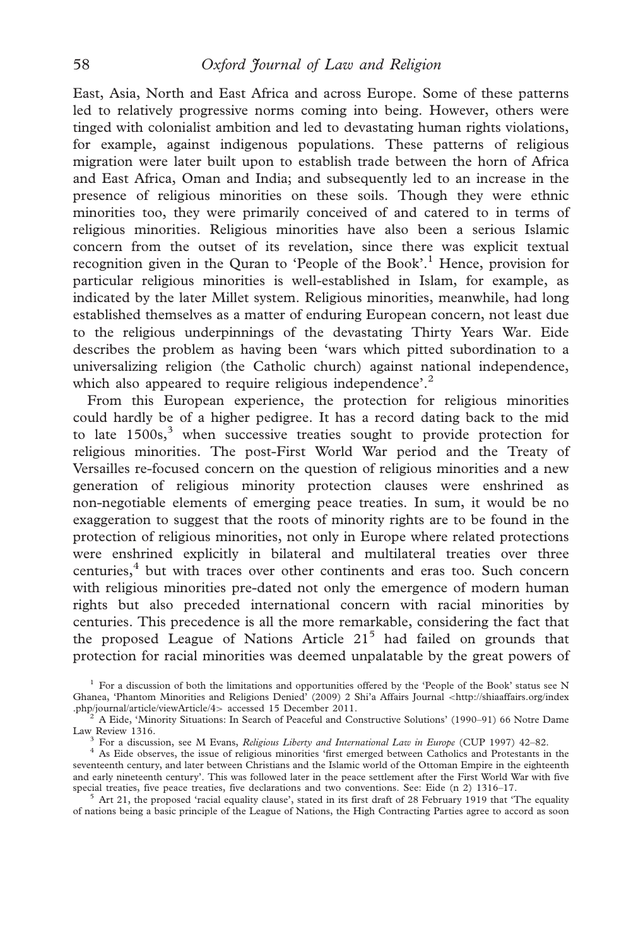East, Asia, North and East Africa and across Europe. Some of these patterns led to relatively progressive norms coming into being. However, others were tinged with colonialist ambition and led to devastating human rights violations, for example, against indigenous populations. These patterns of religious migration were later built upon to establish trade between the horn of Africa and East Africa, Oman and India; and subsequently led to an increase in the presence of religious minorities on these soils. Though they were ethnic minorities too, they were primarily conceived of and catered to in terms of religious minorities. Religious minorities have also been a serious Islamic concern from the outset of its revelation, since there was explicit textual recognition given in the Quran to 'People of the Book'.<sup>1</sup> Hence, provision for particular religious minorities is well-established in Islam, for example, as indicated by the later Millet system. Religious minorities, meanwhile, had long established themselves as a matter of enduring European concern, not least due to the religious underpinnings of the devastating Thirty Years War. Eide describes the problem as having been 'wars which pitted subordination to a universalizing religion (the Catholic church) against national independence, which also appeared to require religious independence'.<sup>2</sup>

From this European experience, the protection for religious minorities could hardly be of a higher pedigree. It has a record dating back to the mid to late  $1500s<sub>1</sub><sup>3</sup>$  when successive treaties sought to provide protection for religious minorities. The post-First World War period and the Treaty of Versailles re-focused concern on the question of religious minorities and a new generation of religious minority protection clauses were enshrined as non-negotiable elements of emerging peace treaties. In sum, it would be no exaggeration to suggest that the roots of minority rights are to be found in the protection of religious minorities, not only in Europe where related protections were enshrined explicitly in bilateral and multilateral treaties over three centuries,<sup>4</sup> but with traces over other continents and eras too. Such concern with religious minorities pre-dated not only the emergence of modern human rights but also preceded international concern with racial minorities by centuries. This precedence is all the more remarkable, considering the fact that the proposed League of Nations Article  $21<sup>5</sup>$  had failed on grounds that protection for racial minorities was deemed unpalatable by the great powers of

<sup>&</sup>lt;sup>1</sup> For a discussion of both the limitations and opportunities offered by the 'People of the Book' status see N Ghanea, 'Phantom Minorities and Religions Denied' (2009) 2 Shi'a Affairs Journal <http://shiaaffairs.org/index

 $\frac{p_{2}}{2}$  A Eide, 'Minority Situations: In Search of Peaceful and Constructive Solutions' (1990–91) 66 Notre Dame Law Review 1316.

<sup>&</sup>lt;sup>3</sup> For a discussion, see M Evans, *Religious Liberty and International Law in Europe* (CUP 1997) 42–82.<br><sup>4</sup> As Eide observes, the issue of religious minorities 'first emerged between Catholics and Protestants in the seventeenth century, and later between Christians and the Islamic world of the Ottoman Empire in the eighteenth and early nineteenth century'. This was followed later in the peace settlement after the First World War with five special treaties, five peace treaties, five declarations and two conventions. See: Eide (n 2) 1316-17.

 $5$  Art 21, the proposed 'racial equality clause', stated in its first draft of 28 February 1919 that 'The equality of nations being a basic principle of the League of Nations, the High Contracting Parties agree to accord as soon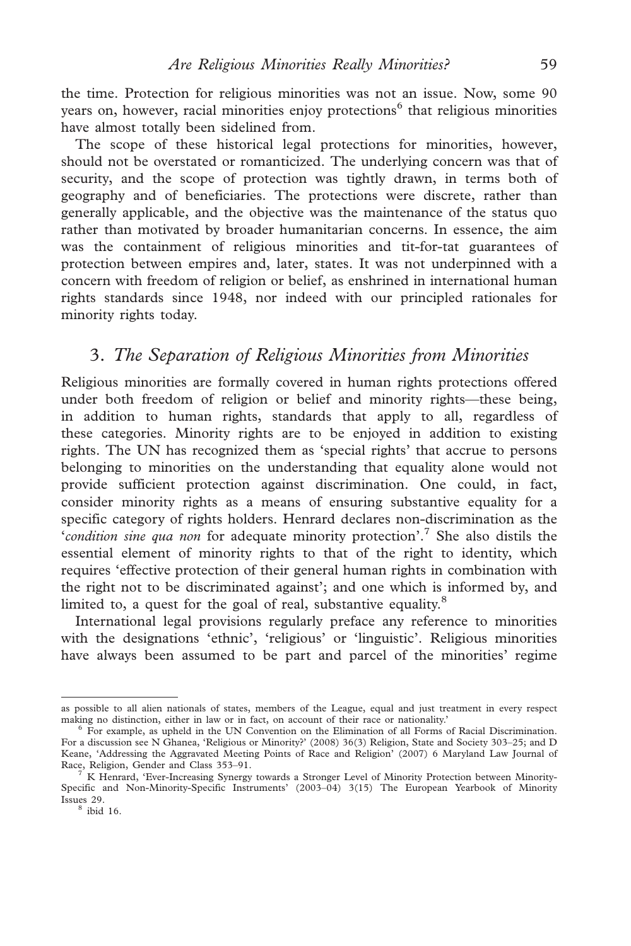the time. Protection for religious minorities was not an issue. Now, some 90 years on, however, racial minorities enjoy protections<sup>6</sup> that religious minorities have almost totally been sidelined from.

The scope of these historical legal protections for minorities, however, should not be overstated or romanticized. The underlying concern was that of security, and the scope of protection was tightly drawn, in terms both of geography and of beneficiaries. The protections were discrete, rather than generally applicable, and the objective was the maintenance of the status quo rather than motivated by broader humanitarian concerns. In essence, the aim was the containment of religious minorities and tit-for-tat guarantees of protection between empires and, later, states. It was not underpinned with a concern with freedom of religion or belief, as enshrined in international human rights standards since 1948, nor indeed with our principled rationales for minority rights today.

# 3. The Separation of Religious Minorities from Minorities

Religious minorities are formally covered in human rights protections offered under both freedom of religion or belief and minority rights—these being, in addition to human rights, standards that apply to all, regardless of these categories. Minority rights are to be enjoyed in addition to existing rights. The UN has recognized them as 'special rights' that accrue to persons belonging to minorities on the understanding that equality alone would not provide sufficient protection against discrimination. One could, in fact, consider minority rights as a means of ensuring substantive equality for a specific category of rights holders. Henrard declares non-discrimination as the 'condition sine qua non for adequate minority protection'.<sup>7</sup> She also distils the essential element of minority rights to that of the right to identity, which requires 'effective protection of their general human rights in combination with the right not to be discriminated against'; and one which is informed by, and limited to, a quest for the goal of real, substantive equality.<sup>8</sup>

International legal provisions regularly preface any reference to minorities with the designations 'ethnic', 'religious' or 'linguistic'. Religious minorities have always been assumed to be part and parcel of the minorities' regime

as possible to all alien nationals of states, members of the League, equal and just treatment in every respect making no distinction, either in law or in fact, on account of their race or nationality.'

 $6$  For example, as upheld in the UN Convention on the Elimination of all Forms of Racial Discrimination. For a discussion see N Ghanea, 'Religious or Minority?' (2008) 36(3) Religion, State and Society 303–25; and D Keane, 'Addressing the Aggravated Meeting Points of Race and Religion' (2007) 6 Maryland Law Journal of Race, Religion, Gender and Class 353-91.

K Henrard, 'Ever-Increasing Synergy towards a Stronger Level of Minority Protection between Minority-Specific and Non-Minority-Specific Instruments' (2003–04) 3(15) The European Yearbook of Minority Issues 29.

 $8$  ibid 16.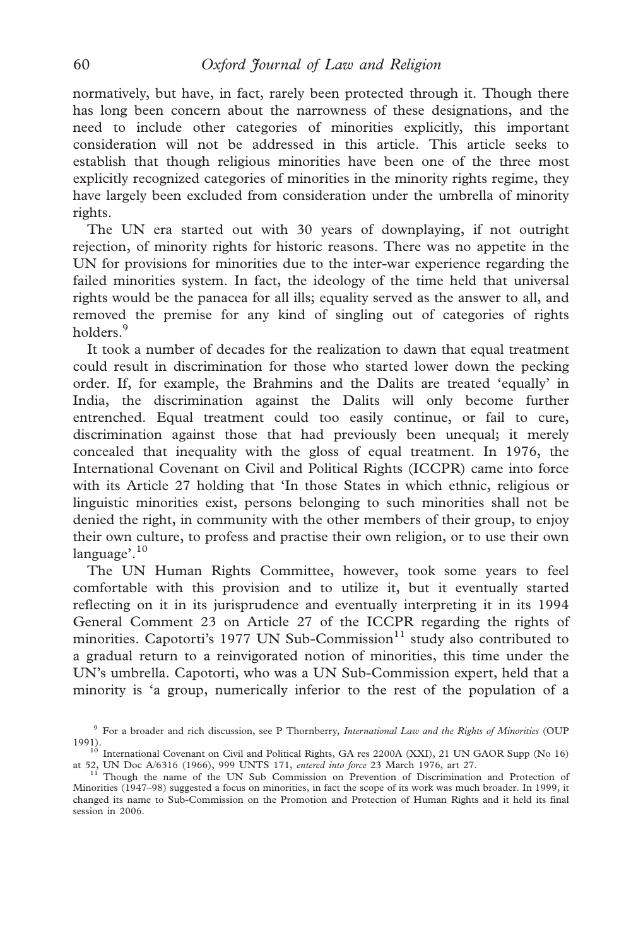normatively, but have, in fact, rarely been protected through it. Though there has long been concern about the narrowness of these designations, and the need to include other categories of minorities explicitly, this important consideration will not be addressed in this article. This article seeks to establish that though religious minorities have been one of the three most explicitly recognized categories of minorities in the minority rights regime, they have largely been excluded from consideration under the umbrella of minority rights.

The UN era started out with 30 years of downplaying, if not outright rejection, of minority rights for historic reasons. There was no appetite in the UN for provisions for minorities due to the inter-war experience regarding the failed minorities system. In fact, the ideology of the time held that universal rights would be the panacea for all ills; equality served as the answer to all, and removed the premise for any kind of singling out of categories of rights holders.<sup>9</sup>

It took a number of decades for the realization to dawn that equal treatment could result in discrimination for those who started lower down the pecking order. If, for example, the Brahmins and the Dalits are treated 'equally' in India, the discrimination against the Dalits will only become further entrenched. Equal treatment could too easily continue, or fail to cure, discrimination against those that had previously been unequal; it merely concealed that inequality with the gloss of equal treatment. In 1976, the International Covenant on Civil and Political Rights (ICCPR) came into force with its Article 27 holding that 'In those States in which ethnic, religious or linguistic minorities exist, persons belonging to such minorities shall not be denied the right, in community with the other members of their group, to enjoy their own culture, to profess and practise their own religion, or to use their own language'. $10$ 

The UN Human Rights Committee, however, took some years to feel comfortable with this provision and to utilize it, but it eventually started reflecting on it in its jurisprudence and eventually interpreting it in its 1994 General Comment 23 on Article 27 of the ICCPR regarding the rights of minorities. Capotorti's 1977 UN Sub-Commission $11$  study also contributed to a gradual return to a reinvigorated notion of minorities, this time under the UN's umbrella. Capotorti, who was a UN Sub-Commission expert, held that a minority is 'a group, numerically inferior to the rest of the population of a

<sup>&</sup>lt;sup>9</sup> For a broader and rich discussion, see P Thornberry, International Law and the Rights of Minorities (OUP

<sup>1991).&</sup>lt;br><sup>10</sup> International Covenant on Civil and Political Rights, GA res 2200A (XXI), 21 UN GAOR Supp (No 16)

<sup>&</sup>lt;sup>11</sup> Though the name of the UN Sub Commission on Prevention of Discrimination and Protection of Minorities (1947–98) suggested a focus on minorities, in fact the scope of its work was much broader. In 1999, it changed its name to Sub-Commission on the Promotion and Protection of Human Rights and it held its final session in 2006.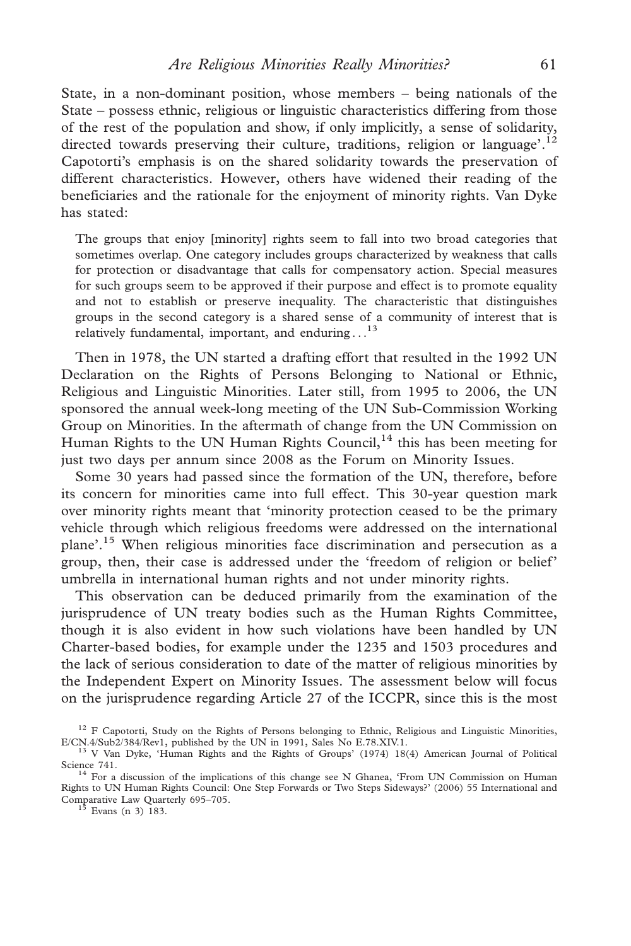State, in a non-dominant position, whose members – being nationals of the State – possess ethnic, religious or linguistic characteristics differing from those of the rest of the population and show, if only implicitly, a sense of solidarity, directed towards preserving their culture, traditions, religion or language'.<sup>12</sup> Capotorti's emphasis is on the shared solidarity towards the preservation of different characteristics. However, others have widened their reading of the beneficiaries and the rationale for the enjoyment of minority rights. Van Dyke has stated:

The groups that enjoy [minority] rights seem to fall into two broad categories that sometimes overlap. One category includes groups characterized by weakness that calls for protection or disadvantage that calls for compensatory action. Special measures for such groups seem to be approved if their purpose and effect is to promote equality and not to establish or preserve inequality. The characteristic that distinguishes groups in the second category is a shared sense of a community of interest that is relatively fundamental, important, and enduring  $\ldots$ <sup>13</sup>

Then in 1978, the UN started a drafting effort that resulted in the 1992 UN Declaration on the Rights of Persons Belonging to National or Ethnic, Religious and Linguistic Minorities. Later still, from 1995 to 2006, the UN sponsored the annual week-long meeting of the UN Sub-Commission Working Group on Minorities. In the aftermath of change from the UN Commission on Human Rights to the UN Human Rights Council,  $14$  this has been meeting for just two days per annum since 2008 as the Forum on Minority Issues.

Some 30 years had passed since the formation of the UN, therefore, before its concern for minorities came into full effect. This 30-year question mark over minority rights meant that 'minority protection ceased to be the primary vehicle through which religious freedoms were addressed on the international plane'.<sup>15</sup> When religious minorities face discrimination and persecution as a group, then, their case is addressed under the 'freedom of religion or belief' umbrella in international human rights and not under minority rights.

This observation can be deduced primarily from the examination of the jurisprudence of UN treaty bodies such as the Human Rights Committee, though it is also evident in how such violations have been handled by UN Charter-based bodies, for example under the 1235 and 1503 procedures and the lack of serious consideration to date of the matter of religious minorities by the Independent Expert on Minority Issues. The assessment below will focus on the jurisprudence regarding Article 27 of the ICCPR, since this is the most

<sup>&</sup>lt;sup>12</sup> F Capotorti, Study on the Rights of Persons belonging to Ethnic, Religious and Linguistic Minorities, E/CN.4/Sub2/384/Rev1, published by the UN in 1991, Sales No E.78.XIV.1. <sup>13</sup> V Van Dyke, 'Human Rights and the Rights of Groups' (1974) 18(4) American Journal of Political

Science 741.<br><sup>14</sup> For a discussion of the implications of this change see N Ghanea, 'From UN Commission on Human

Rights to UN Human Rights Council: One Step Forwards or Two Steps Sideways?' (2006) 55 International and Comparative Law Quarterly 695–705.<br><sup>15</sup> Evans (n 3) 183.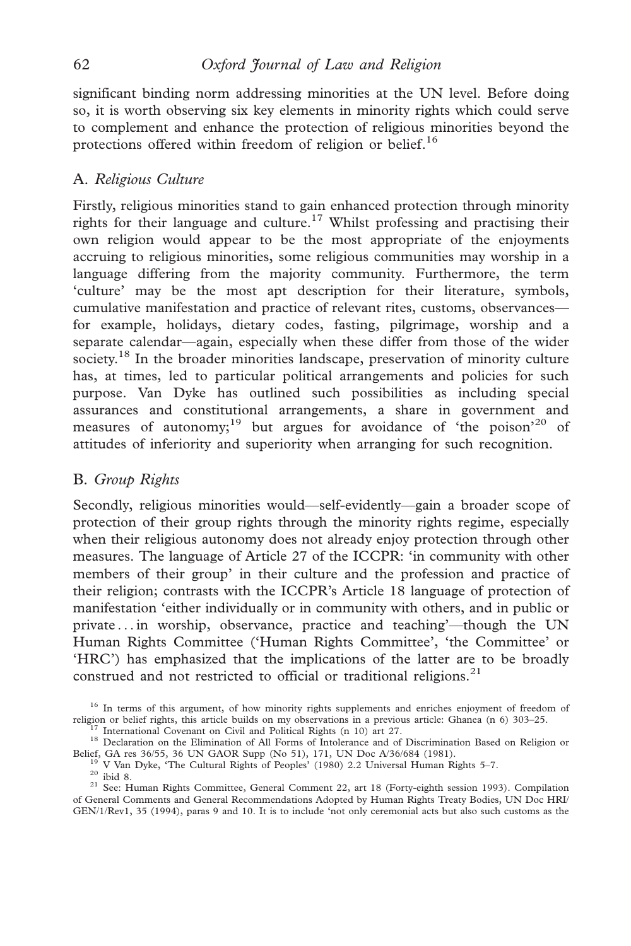significant binding norm addressing minorities at the UN level. Before doing so, it is worth observing six key elements in minority rights which could serve to complement and enhance the protection of religious minorities beyond the protections offered within freedom of religion or belief.<sup>16</sup>

## A. Religious Culture

Firstly, religious minorities stand to gain enhanced protection through minority rights for their language and culture.<sup>17</sup> Whilst professing and practising their own religion would appear to be the most appropriate of the enjoyments accruing to religious minorities, some religious communities may worship in a language differing from the majority community. Furthermore, the term 'culture' may be the most apt description for their literature, symbols, cumulative manifestation and practice of relevant rites, customs, observances for example, holidays, dietary codes, fasting, pilgrimage, worship and a separate calendar—again, especially when these differ from those of the wider society.<sup>18</sup> In the broader minorities landscape, preservation of minority culture has, at times, led to particular political arrangements and policies for such purpose. Van Dyke has outlined such possibilities as including special assurances and constitutional arrangements, a share in government and measures of autonomy;<sup>19</sup> but argues for avoidance of 'the poison'<sup>20</sup> of attitudes of inferiority and superiority when arranging for such recognition.

### B. Group Rights

Secondly, religious minorities would—self-evidently—gain a broader scope of protection of their group rights through the minority rights regime, especially when their religious autonomy does not already enjoy protection through other measures. The language of Article 27 of the ICCPR: 'in community with other members of their group' in their culture and the profession and practice of their religion; contrasts with the ICCPR's Article 18 language of protection of manifestation 'either individually or in community with others, and in public or private ... in worship, observance, practice and teaching'—though the UN Human Rights Committee ('Human Rights Committee', 'the Committee' or 'HRC') has emphasized that the implications of the latter are to be broadly construed and not restricted to official or traditional religions.<sup>21</sup>

<sup>&</sup>lt;sup>16</sup> In terms of this argument, of how minority rights supplements and enriches enjoyment of freedom of religion or belief rights, this article builds on my observations in a previous article: Ghanea (n 6) 303–25.

<sup>&</sup>lt;sup>17</sup> International Covenant on Civil and Political Rights (n 10) art 27.<br><sup>18</sup> Declaration on the Elimination of All Forms of Intolerance and of Discrimination Based on Religion or Belief, GA res 36/55, 36 UN GAOR Supp (No

<sup>&</sup>lt;sup>19</sup> V Van Dyke, 'The Cultural Rights of Peoples' (1980) 2.2 Universal Human Rights 5–7.<br><sup>20</sup> ibid 8.<br><sup>21</sup> See: Human Rights Committee, General Comment 22, art 18 (Forty-eighth session 1993). Compilation of General Comments and General Recommendations Adopted by Human Rights Treaty Bodies, UN Doc HRI/ GEN/1/Rev1, 35 (1994), paras 9 and 10. It is to include 'not only ceremonial acts but also such customs as the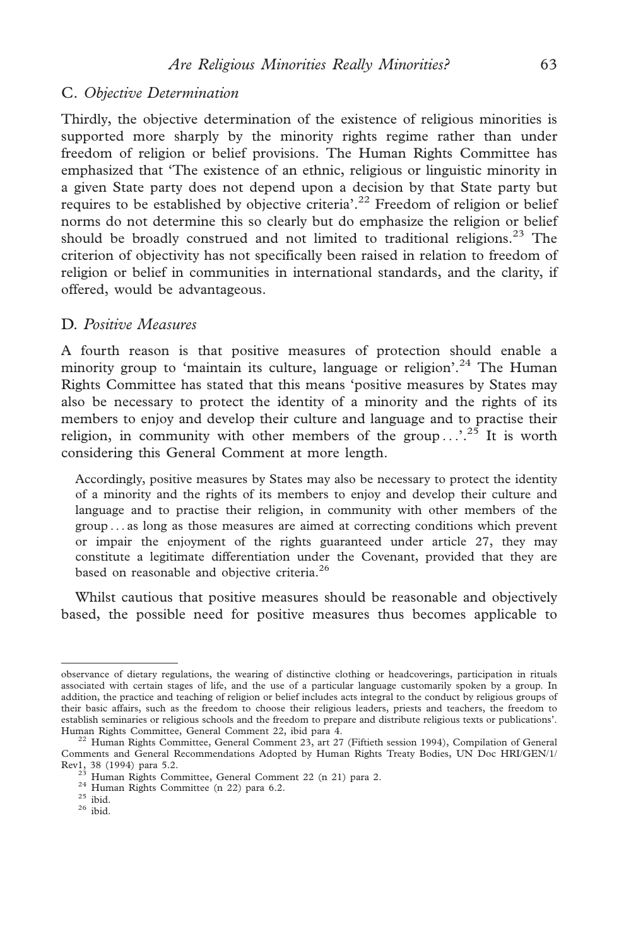## C. Objective Determination

Thirdly, the objective determination of the existence of religious minorities is supported more sharply by the minority rights regime rather than under freedom of religion or belief provisions. The Human Rights Committee has emphasized that 'The existence of an ethnic, religious or linguistic minority in a given State party does not depend upon a decision by that State party but requires to be established by objective criteria'.<sup>22</sup> Freedom of religion or belief norms do not determine this so clearly but do emphasize the religion or belief should be broadly construed and not limited to traditional religions.<sup>23</sup> The criterion of objectivity has not specifically been raised in relation to freedom of religion or belief in communities in international standards, and the clarity, if offered, would be advantageous.

## D. Positive Measures

A fourth reason is that positive measures of protection should enable a minority group to 'maintain its culture, language or religion'.<sup>24</sup> The Human Rights Committee has stated that this means 'positive measures by States may also be necessary to protect the identity of a minority and the rights of its members to enjoy and develop their culture and language and to practise their religion, in community with other members of the group  $\ldots$ <sup>25</sup>. It is worth considering this General Comment at more length.

Accordingly, positive measures by States may also be necessary to protect the identity of a minority and the rights of its members to enjoy and develop their culture and language and to practise their religion, in community with other members of the group ... as long as those measures are aimed at correcting conditions which prevent or impair the enjoyment of the rights guaranteed under article 27, they may constitute a legitimate differentiation under the Covenant, provided that they are based on reasonable and objective criteria.<sup>26</sup>

Whilst cautious that positive measures should be reasonable and objectively based, the possible need for positive measures thus becomes applicable to

observance of dietary regulations, the wearing of distinctive clothing or headcoverings, participation in rituals associated with certain stages of life, and the use of a particular language customarily spoken by a group. In addition, the practice and teaching of religion or belief includes acts integral to the conduct by religious groups of their basic affairs, such as the freedom to choose their religious leaders, priests and teachers, the freedom to establish seminaries or religious schools and the freedom to prepare and distribute religious texts or publications'.<br>Human Rights Committee, General Comment 22, ibid para 4.

 $^{22}$  Human Rights Committee, General Comment 23, art 27 (Fiftieth session 1994), Compilation of General Comments and General Recommendations Adopted by Human Rights Treaty Bodies, UN Doc HRI/GEN/1/ Rev1, 38 (1994) para 5.2.<br>
<sup>23</sup> Human Rights Committee, General Comment 22 (n 21) para 2.<br>
<sup>24</sup> Human Rights Committee (n 22) para 6.2.<br>
<sup>25</sup> ibid. <sup>26</sup> ibid.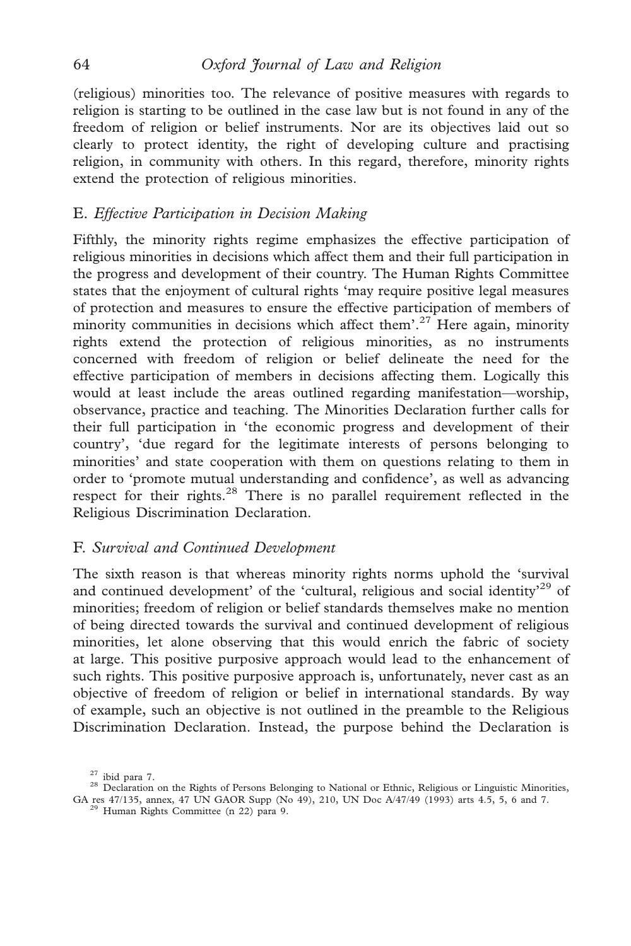(religious) minorities too. The relevance of positive measures with regards to religion is starting to be outlined in the case law but is not found in any of the freedom of religion or belief instruments. Nor are its objectives laid out so clearly to protect identity, the right of developing culture and practising religion, in community with others. In this regard, therefore, minority rights extend the protection of religious minorities.

# E. Effective Participation in Decision Making

Fifthly, the minority rights regime emphasizes the effective participation of religious minorities in decisions which affect them and their full participation in the progress and development of their country. The Human Rights Committee states that the enjoyment of cultural rights 'may require positive legal measures of protection and measures to ensure the effective participation of members of minority communities in decisions which affect them'.<sup>27</sup> Here again, minority rights extend the protection of religious minorities, as no instruments concerned with freedom of religion or belief delineate the need for the effective participation of members in decisions affecting them. Logically this would at least include the areas outlined regarding manifestation—worship, observance, practice and teaching. The Minorities Declaration further calls for their full participation in 'the economic progress and development of their country', 'due regard for the legitimate interests of persons belonging to minorities' and state cooperation with them on questions relating to them in order to 'promote mutual understanding and confidence', as well as advancing respect for their rights.28 There is no parallel requirement reflected in the Religious Discrimination Declaration.

# F. Survival and Continued Development

The sixth reason is that whereas minority rights norms uphold the 'survival and continued development' of the 'cultural, religious and social identity'<sup>29</sup> of minorities; freedom of religion or belief standards themselves make no mention of being directed towards the survival and continued development of religious minorities, let alone observing that this would enrich the fabric of society at large. This positive purposive approach would lead to the enhancement of such rights. This positive purposive approach is, unfortunately, never cast as an objective of freedom of religion or belief in international standards. By way of example, such an objective is not outlined in the preamble to the Religious Discrimination Declaration. Instead, the purpose behind the Declaration is

<sup>&</sup>lt;sup>27</sup> ibid para 7.<br><sup>28</sup> Declaration on the Rights of Persons Belonging to National or Ethnic, Religious or Linguistic Minorities, GA res 47/135, annex, 47 UN GAOR Supp (No 49), 210, UN Doc A/47/49 (1993) arts 4.5, 5, 6 and 7. <sup>29</sup> Human Rights Committee (n 22) para 9.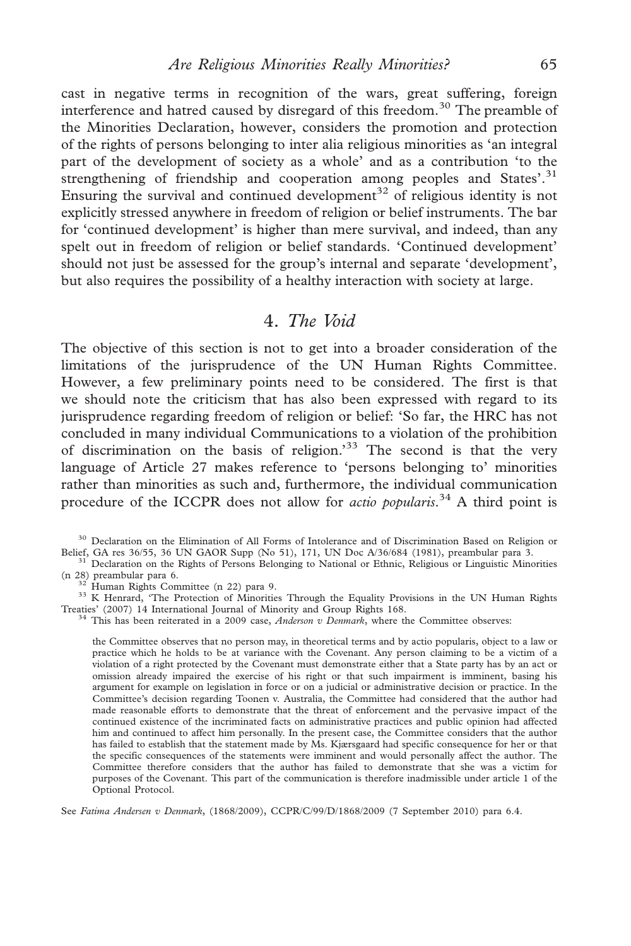cast in negative terms in recognition of the wars, great suffering, foreign interference and hatred caused by disregard of this freedom.<sup>30</sup> The preamble of the Minorities Declaration, however, considers the promotion and protection of the rights of persons belonging to inter alia religious minorities as 'an integral part of the development of society as a whole' and as a contribution 'to the strengthening of friendship and cooperation among peoples and States'.<sup>31</sup> Ensuring the survival and continued development<sup>32</sup> of religious identity is not explicitly stressed anywhere in freedom of religion or belief instruments. The bar for 'continued development' is higher than mere survival, and indeed, than any spelt out in freedom of religion or belief standards. 'Continued development' should not just be assessed for the group's internal and separate 'development', but also requires the possibility of a healthy interaction with society at large.

# 4. The Void

The objective of this section is not to get into a broader consideration of the limitations of the jurisprudence of the UN Human Rights Committee. However, a few preliminary points need to be considered. The first is that we should note the criticism that has also been expressed with regard to its jurisprudence regarding freedom of religion or belief: 'So far, the HRC has not concluded in many individual Communications to a violation of the prohibition of discrimination on the basis of religion.<sup>33</sup> The second is that the very language of Article 27 makes reference to 'persons belonging to' minorities rather than minorities as such and, furthermore, the individual communication procedure of the ICCPR does not allow for *actio popularis*.<sup>34</sup> A third point is

<sup>33</sup> K Henrard, 'The Protection of Minorities Through the Equality Provisions in the UN Human Rights Treaties' (2007) 14 International Journal of Minority and Group Rights 168.

<sup>34</sup> This has been reiterated in a 2009 case, *Anderson v Denmark*, where the Committee observes:

the Committee observes that no person may, in theoretical terms and by actio popularis, object to a law or practice which he holds to be at variance with the Covenant. Any person claiming to be a victim of a violation of a right protected by the Covenant must demonstrate either that a State party has by an act or omission already impaired the exercise of his right or that such impairment is imminent, basing his argument for example on legislation in force or on a judicial or administrative decision or practice. In the Committee's decision regarding Toonen v. Australia, the Committee had considered that the author had made reasonable efforts to demonstrate that the threat of enforcement and the pervasive impact of the continued existence of the incriminated facts on administrative practices and public opinion had affected him and continued to affect him personally. In the present case, the Committee considers that the author has failed to establish that the statement made by Ms. Kjærsgaard had specific consequence for her or that the specific consequences of the statements were imminent and would personally affect the author. The Committee therefore considers that the author has failed to demonstrate that she was a victim for purposes of the Covenant. This part of the communication is therefore inadmissible under article 1 of the Optional Protocol.

See Fatima Andersen v Denmark, (1868/2009), CCPR/C/99/D/1868/2009 (7 September 2010) para 6.4.

<sup>&</sup>lt;sup>30</sup> Declaration on the Elimination of All Forms of Intolerance and of Discrimination Based on Religion or Belief, GA res  $36/55$ ,  $36$  UN GAOR Supp (No 51), 171, UN Doc  $A/36/684$  (1981), preambular para 3.

<sup>&</sup>lt;sup>31</sup> Declaration on the Rights of Persons Belonging to National or Ethnic, Religious or Linguistic Minorities (n 28) preambular para 6.<br><sup>32</sup> Human Rights Committee (n 22) para 9.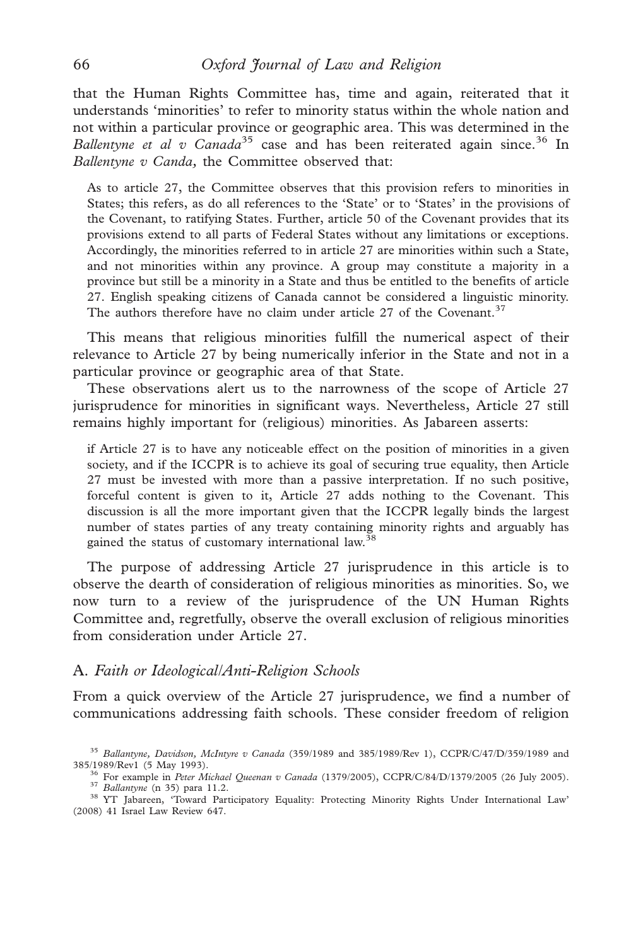that the Human Rights Committee has, time and again, reiterated that it understands 'minorities' to refer to minority status within the whole nation and not within a particular province or geographic area. This was determined in the Ballentyne et al v Canada<sup>35</sup> case and has been reiterated again since.<sup>36</sup> In Ballentyne v Canda, the Committee observed that:

As to article 27, the Committee observes that this provision refers to minorities in States; this refers, as do all references to the 'State' or to 'States' in the provisions of the Covenant, to ratifying States. Further, article 50 of the Covenant provides that its provisions extend to all parts of Federal States without any limitations or exceptions. Accordingly, the minorities referred to in article 27 are minorities within such a State, and not minorities within any province. A group may constitute a majority in a province but still be a minority in a State and thus be entitled to the benefits of article 27. English speaking citizens of Canada cannot be considered a linguistic minority. The authors therefore have no claim under article 27 of the Covenant.<sup>37</sup>

This means that religious minorities fulfill the numerical aspect of their relevance to Article 27 by being numerically inferior in the State and not in a particular province or geographic area of that State.

These observations alert us to the narrowness of the scope of Article 27 jurisprudence for minorities in significant ways. Nevertheless, Article 27 still remains highly important for (religious) minorities. As Jabareen asserts:

if Article 27 is to have any noticeable effect on the position of minorities in a given society, and if the ICCPR is to achieve its goal of securing true equality, then Article 27 must be invested with more than a passive interpretation. If no such positive, forceful content is given to it, Article 27 adds nothing to the Covenant. This discussion is all the more important given that the ICCPR legally binds the largest number of states parties of any treaty containing minority rights and arguably has gained the status of customary international law.<sup>38</sup>

The purpose of addressing Article 27 jurisprudence in this article is to observe the dearth of consideration of religious minorities as minorities. So, we now turn to a review of the jurisprudence of the UN Human Rights Committee and, regretfully, observe the overall exclusion of religious minorities from consideration under Article 27.

#### A. Faith or Ideological/Anti-Religion Schools

From a quick overview of the Article 27 jurisprudence, we find a number of communications addressing faith schools. These consider freedom of religion

 $35$  Ballantyne, Davidson, McIntyre v Canada (359/1989 and 385/1989/Rev 1), CCPR/C/47/D/359/1989 and 385/1989/Rev 1 (5 May 1993).

<sup>&</sup>lt;sup>36</sup> For example in Peter Michael Queenan v Canada (1379/2005), CCPR/C/84/D/1379/2005 (26 July 2005).<br><sup>37</sup> Ballantyne (n 35) para 11.2.<br><sup>38</sup> YT Jabareen, 'Toward Participatory Equality: Protecting Minority Rights Under Int

<sup>(2008) 41</sup> Israel Law Review 647.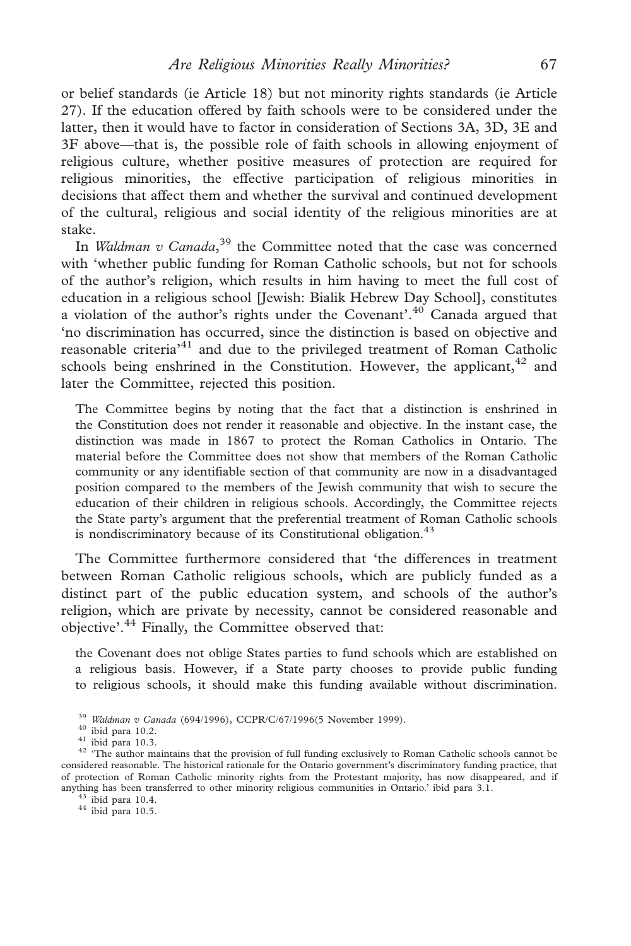or belief standards (ie Article 18) but not minority rights standards (ie Article 27). If the education offered by faith schools were to be considered under the latter, then it would have to factor in consideration of Sections 3A, 3D, 3E and 3F above—that is, the possible role of faith schools in allowing enjoyment of religious culture, whether positive measures of protection are required for religious minorities, the effective participation of religious minorities in decisions that affect them and whether the survival and continued development of the cultural, religious and social identity of the religious minorities are at stake.

In *Waldman v Canada*,<sup>39</sup> the Committee noted that the case was concerned with 'whether public funding for Roman Catholic schools, but not for schools of the author's religion, which results in him having to meet the full cost of education in a religious school [Jewish: Bialik Hebrew Day School], constitutes a violation of the author's rights under the Covenant'.<sup>40</sup> Canada argued that 'no discrimination has occurred, since the distinction is based on objective and reasonable criteria<sup>31</sup> and due to the privileged treatment of Roman Catholic schools being enshrined in the Constitution. However, the applicant,  $42$  and later the Committee, rejected this position.

The Committee begins by noting that the fact that a distinction is enshrined in the Constitution does not render it reasonable and objective. In the instant case, the distinction was made in 1867 to protect the Roman Catholics in Ontario. The material before the Committee does not show that members of the Roman Catholic community or any identifiable section of that community are now in a disadvantaged position compared to the members of the Jewish community that wish to secure the education of their children in religious schools. Accordingly, the Committee rejects the State party's argument that the preferential treatment of Roman Catholic schools is nondiscriminatory because of its Constitutional obligation.<sup>43</sup>

The Committee furthermore considered that 'the differences in treatment between Roman Catholic religious schools, which are publicly funded as a distinct part of the public education system, and schools of the author's religion, which are private by necessity, cannot be considered reasonable and objective'.<sup>44</sup> Finally, the Committee observed that:

the Covenant does not oblige States parties to fund schools which are established on a religious basis. However, if a State party chooses to provide public funding to religious schools, it should make this funding available without discrimination.

<sup>&</sup>lt;sup>39</sup> Waldman v Canada (694/1996), CCPR/C/67/1996(5 November 1999).<br><sup>40</sup> ibid para 10.2.<br><sup>41</sup> ibid para 10.3. <sup>42</sup> 'The author maintains that the provision of full funding exclusively to Roman Catholic schools cannot be<br><sup>4</sup> considered reasonable. The historical rationale for the Ontario government's discriminatory funding practice, that of protection of Roman Catholic minority rights from the Protestant majority, has now disappeared, and if anything has been transferred to other minority religious communities in Ontario.' ibid para 3.1.  $^{43}$  ibid para 10.5.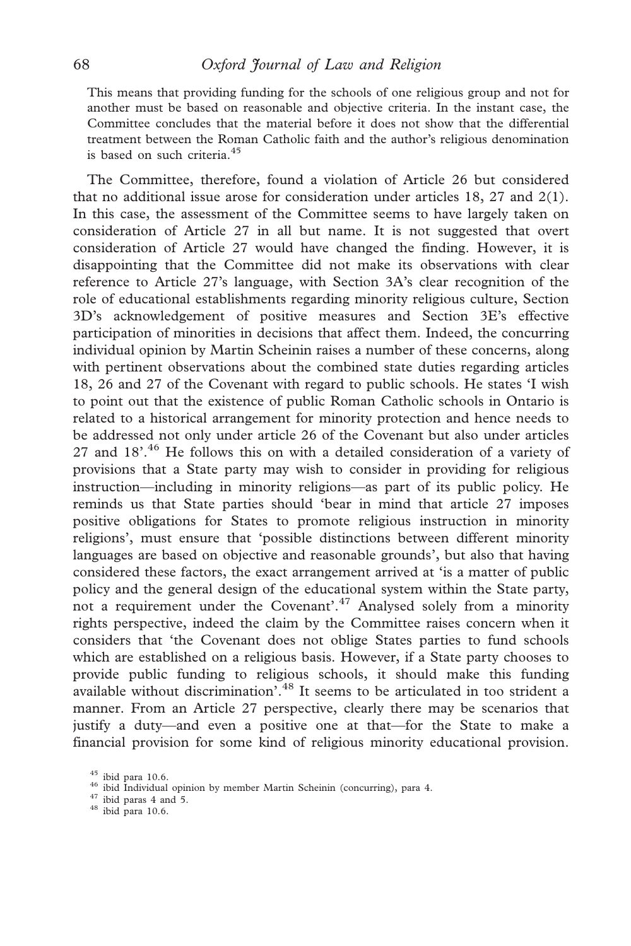This means that providing funding for the schools of one religious group and not for another must be based on reasonable and objective criteria. In the instant case, the Committee concludes that the material before it does not show that the differential treatment between the Roman Catholic faith and the author's religious denomination is based on such criteria.<sup>45</sup>

The Committee, therefore, found a violation of Article 26 but considered that no additional issue arose for consideration under articles  $18$ ,  $27$  and  $2(1)$ . In this case, the assessment of the Committee seems to have largely taken on consideration of Article 27 in all but name. It is not suggested that overt consideration of Article 27 would have changed the finding. However, it is disappointing that the Committee did not make its observations with clear reference to Article 27's language, with Section 3A's clear recognition of the role of educational establishments regarding minority religious culture, Section 3D's acknowledgement of positive measures and Section 3E's effective participation of minorities in decisions that affect them. Indeed, the concurring individual opinion by Martin Scheinin raises a number of these concerns, along with pertinent observations about the combined state duties regarding articles 18, 26 and 27 of the Covenant with regard to public schools. He states 'I wish to point out that the existence of public Roman Catholic schools in Ontario is related to a historical arrangement for minority protection and hence needs to be addressed not only under article 26 of the Covenant but also under articles 27 and  $18'$ .<sup>46</sup> He follows this on with a detailed consideration of a variety of provisions that a State party may wish to consider in providing for religious instruction—including in minority religions—as part of its public policy. He reminds us that State parties should 'bear in mind that article 27 imposes positive obligations for States to promote religious instruction in minority religions', must ensure that 'possible distinctions between different minority languages are based on objective and reasonable grounds', but also that having considered these factors, the exact arrangement arrived at 'is a matter of public policy and the general design of the educational system within the State party, not a requirement under the Covenant'.<sup>47</sup> Analysed solely from a minority rights perspective, indeed the claim by the Committee raises concern when it considers that 'the Covenant does not oblige States parties to fund schools which are established on a religious basis. However, if a State party chooses to provide public funding to religious schools, it should make this funding available without discrimination'.<sup>48</sup> It seems to be articulated in too strident a manner. From an Article 27 perspective, clearly there may be scenarios that justify a duty—and even a positive one at that—for the State to make a financial provision for some kind of religious minority educational provision.

<sup>&</sup>lt;sup>45</sup> ibid para 10.6.  $\frac{46}{10}$  ibid Individual opinion by member Martin Scheinin (concurring), para 4.  $\frac{47}{18}$  ibid para 10.6.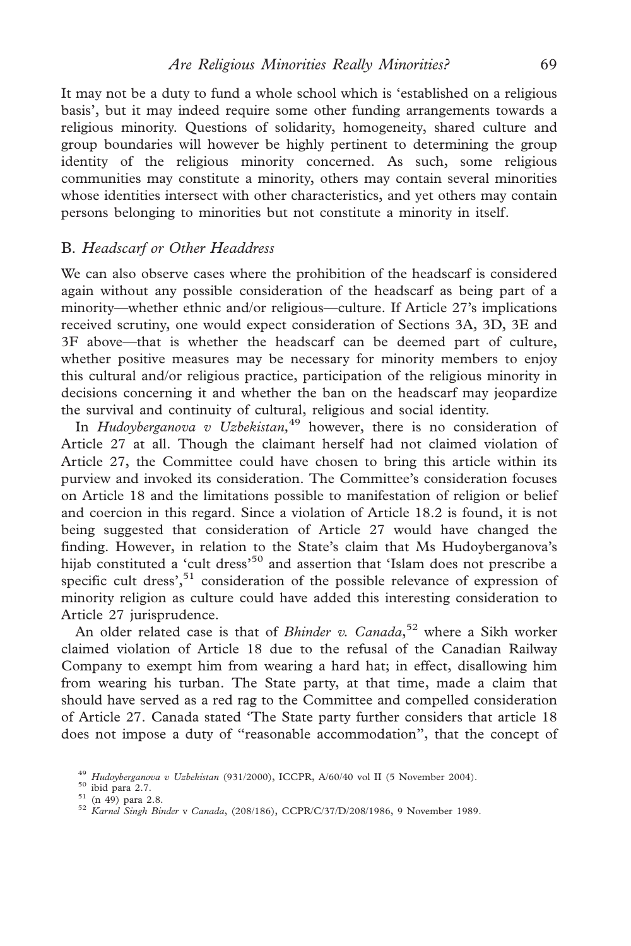It may not be a duty to fund a whole school which is 'established on a religious basis', but it may indeed require some other funding arrangements towards a religious minority. Questions of solidarity, homogeneity, shared culture and group boundaries will however be highly pertinent to determining the group identity of the religious minority concerned. As such, some religious communities may constitute a minority, others may contain several minorities whose identities intersect with other characteristics, and yet others may contain persons belonging to minorities but not constitute a minority in itself.

## B. Headscarf or Other Headdress

We can also observe cases where the prohibition of the headscarf is considered again without any possible consideration of the headscarf as being part of a minority—whether ethnic and/or religious—culture. If Article 27's implications received scrutiny, one would expect consideration of Sections 3A, 3D, 3E and 3F above—that is whether the headscarf can be deemed part of culture, whether positive measures may be necessary for minority members to enjoy this cultural and/or religious practice, participation of the religious minority in decisions concerning it and whether the ban on the headscarf may jeopardize the survival and continuity of cultural, religious and social identity.

In Hudoyberganova v Uzbekistan,<sup>49</sup> however, there is no consideration of Article 27 at all. Though the claimant herself had not claimed violation of Article 27, the Committee could have chosen to bring this article within its purview and invoked its consideration. The Committee's consideration focuses on Article 18 and the limitations possible to manifestation of religion or belief and coercion in this regard. Since a violation of Article 18.2 is found, it is not being suggested that consideration of Article 27 would have changed the finding. However, in relation to the State's claim that Ms Hudoyberganova's hijab constituted a 'cult dress'<sup>50</sup> and assertion that 'Islam does not prescribe a specific cult dress', $51$  consideration of the possible relevance of expression of minority religion as culture could have added this interesting consideration to Article 27 jurisprudence.

An older related case is that of *Bhinder v. Canada*,<sup>52</sup> where a Sikh worker claimed violation of Article 18 due to the refusal of the Canadian Railway Company to exempt him from wearing a hard hat; in effect, disallowing him from wearing his turban. The State party, at that time, made a claim that should have served as a red rag to the Committee and compelled consideration of Article 27. Canada stated 'The State party further considers that article 18 does not impose a duty of ''reasonable accommodation'', that the concept of

<sup>&</sup>lt;sup>49</sup> Hudoyberganova v Uzbekistan (931/2000), ICCPR, A/60/40 vol II (5 November 2004).<br><sup>50</sup> ibid para 2.7.<br><sup>51</sup> (n 49) para 2.8. *52 Karnel Singh Binder v Canada*, (208/186), CCPR/C/37/D/208/1986, 9 November 1989.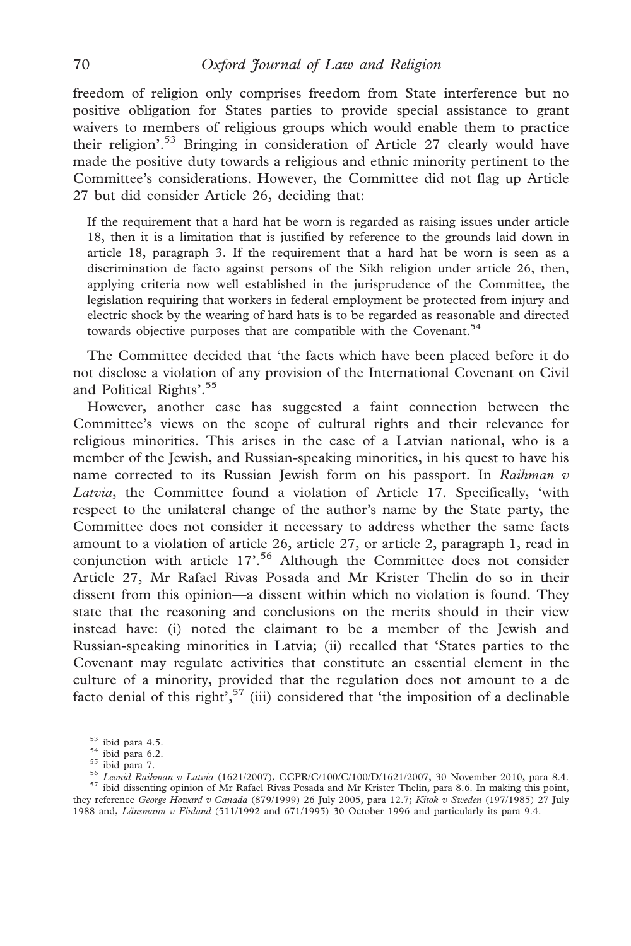freedom of religion only comprises freedom from State interference but no positive obligation for States parties to provide special assistance to grant waivers to members of religious groups which would enable them to practice their religion'.<sup>53</sup> Bringing in consideration of Article 27 clearly would have made the positive duty towards a religious and ethnic minority pertinent to the Committee's considerations. However, the Committee did not flag up Article 27 but did consider Article 26, deciding that:

If the requirement that a hard hat be worn is regarded as raising issues under article 18, then it is a limitation that is justified by reference to the grounds laid down in article 18, paragraph 3. If the requirement that a hard hat be worn is seen as a discrimination de facto against persons of the Sikh religion under article 26, then, applying criteria now well established in the jurisprudence of the Committee, the legislation requiring that workers in federal employment be protected from injury and electric shock by the wearing of hard hats is to be regarded as reasonable and directed towards objective purposes that are compatible with the Covenant.<sup>54</sup>

The Committee decided that 'the facts which have been placed before it do not disclose a violation of any provision of the International Covenant on Civil and Political Rights'.<sup>55</sup>

However, another case has suggested a faint connection between the Committee's views on the scope of cultural rights and their relevance for religious minorities. This arises in the case of a Latvian national, who is a member of the Jewish, and Russian-speaking minorities, in his quest to have his name corrected to its Russian Jewish form on his passport. In Raihman v Latvia, the Committee found a violation of Article 17. Specifically, 'with respect to the unilateral change of the author's name by the State party, the Committee does not consider it necessary to address whether the same facts amount to a violation of article 26, article 27, or article 2, paragraph 1, read in conjunction with article 17'.<sup>56</sup> Although the Committee does not consider Article 27, Mr Rafael Rivas Posada and Mr Krister Thelin do so in their dissent from this opinion—a dissent within which no violation is found. They state that the reasoning and conclusions on the merits should in their view instead have: (i) noted the claimant to be a member of the Jewish and Russian-speaking minorities in Latvia; (ii) recalled that 'States parties to the Covenant may regulate activities that constitute an essential element in the culture of a minority, provided that the regulation does not amount to a de facto denial of this right', $57$  (iii) considered that 'the imposition of a declinable

they reference George Howard v Canada (879/1999) 26 July 2005, para 12.7; Kitok v Sweden (197/1985) 27 July 1988 and, Länsmann v Finland (511/1992 and 671/1995) 30 October 1996 and particularly its para 9.4.

<sup>&</sup>lt;sup>53</sup> ibid para 4.5.<br><sup>54</sup> ibid para 6.2.<br><sup>55</sup> ibid para 7.<br><sup>55</sup> *Leonid Raihman v Latvia* (1621/2007), CCPR/C/100/C/100/D/1621/2007, 30 November 2010, para 8.4.<br><sup>56</sup> *Leonid Raihman v Latvia* (1621/2007), CCPR/C/100/C/100/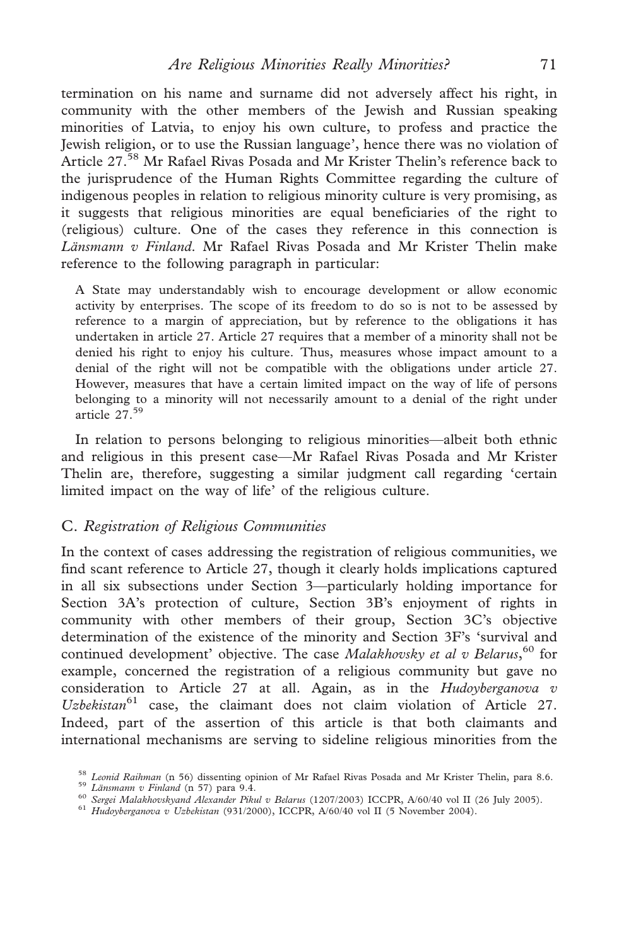termination on his name and surname did not adversely affect his right, in community with the other members of the Jewish and Russian speaking minorities of Latvia, to enjoy his own culture, to profess and practice the Jewish religion, or to use the Russian language', hence there was no violation of Article 27.<sup>58</sup> Mr Rafael Rivas Posada and Mr Krister Thelin's reference back to the jurisprudence of the Human Rights Committee regarding the culture of indigenous peoples in relation to religious minority culture is very promising, as it suggests that religious minorities are equal beneficiaries of the right to (religious) culture. One of the cases they reference in this connection is Länsmann v Finland. Mr Rafael Rivas Posada and Mr Krister Thelin make reference to the following paragraph in particular:

A State may understandably wish to encourage development or allow economic activity by enterprises. The scope of its freedom to do so is not to be assessed by reference to a margin of appreciation, but by reference to the obligations it has undertaken in article 27. Article 27 requires that a member of a minority shall not be denied his right to enjoy his culture. Thus, measures whose impact amount to a denial of the right will not be compatible with the obligations under article 27. However, measures that have a certain limited impact on the way of life of persons belonging to a minority will not necessarily amount to a denial of the right under article  $27.59$ 

In relation to persons belonging to religious minorities—albeit both ethnic and religious in this present case—Mr Rafael Rivas Posada and Mr Krister Thelin are, therefore, suggesting a similar judgment call regarding 'certain limited impact on the way of life' of the religious culture.

#### C. Registration of Religious Communities

In the context of cases addressing the registration of religious communities, we find scant reference to Article 27, though it clearly holds implications captured in all six subsections under Section 3—particularly holding importance for Section 3A's protection of culture, Section 3B's enjoyment of rights in community with other members of their group, Section 3C's objective determination of the existence of the minority and Section 3F's 'survival and continued development' objective. The case Malakhovsky et al v Belarus,<sup>60</sup> for example, concerned the registration of a religious community but gave no consideration to Article 27 at all. Again, as in the  $Hudovberganova v$ Uzbekistan $^{61}$  case, the claimant does not claim violation of Article 27. Indeed, part of the assertion of this article is that both claimants and international mechanisms are serving to sideline religious minorities from the

<sup>&</sup>lt;sup>58</sup> Leonid Raihman (n 56) dissenting opinion of Mr Rafael Rivas Posada and Mr Krister Thelin, para 8.6.<br><sup>59</sup> Länsmann v Finland (n 57) para 9.4.<br><sup>60</sup> Sergei Malakhovskyand Alexander Pikul v Belarus (1207/2003) ICCPR, A/6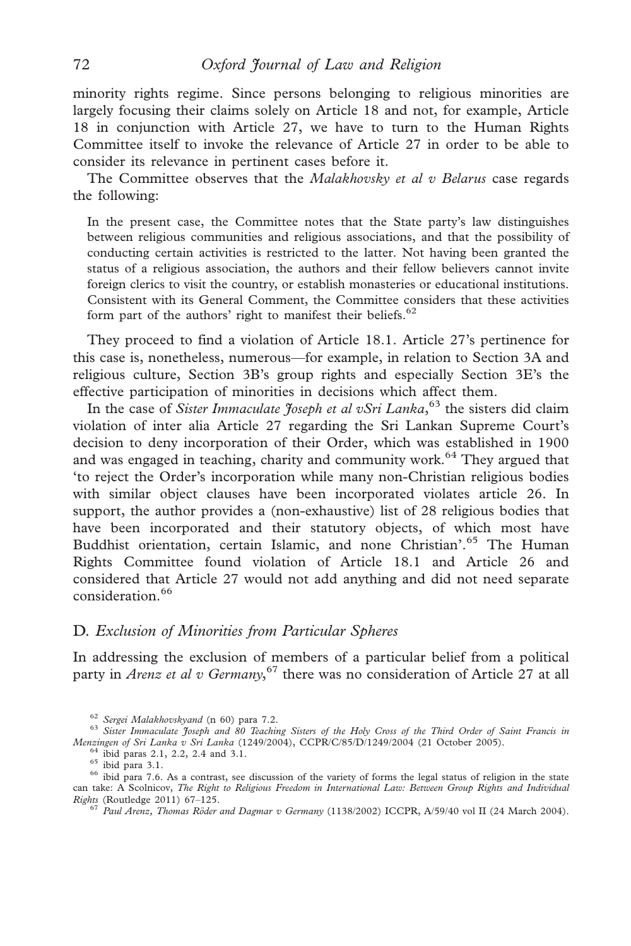minority rights regime. Since persons belonging to religious minorities are largely focusing their claims solely on Article 18 and not, for example, Article 18 in conjunction with Article 27, we have to turn to the Human Rights Committee itself to invoke the relevance of Article 27 in order to be able to consider its relevance in pertinent cases before it.

The Committee observes that the *Malakhovsky et al v Belarus* case regards the following:

In the present case, the Committee notes that the State party's law distinguishes between religious communities and religious associations, and that the possibility of conducting certain activities is restricted to the latter. Not having been granted the status of a religious association, the authors and their fellow believers cannot invite foreign clerics to visit the country, or establish monasteries or educational institutions. Consistent with its General Comment, the Committee considers that these activities form part of the authors' right to manifest their beliefs.<sup>62</sup>

They proceed to find a violation of Article 18.1. Article 27's pertinence for this case is, nonetheless, numerous—for example, in relation to Section 3A and religious culture, Section 3B's group rights and especially Section 3E's the effective participation of minorities in decisions which affect them.

In the case of Sister Immaculate Joseph et al vSri Lanka,<sup>63</sup> the sisters did claim violation of inter alia Article 27 regarding the Sri Lankan Supreme Court's decision to deny incorporation of their Order, which was established in 1900 and was engaged in teaching, charity and community work.<sup>64</sup> They argued that 'to reject the Order's incorporation while many non-Christian religious bodies with similar object clauses have been incorporated violates article 26. In support, the author provides a (non-exhaustive) list of 28 religious bodies that have been incorporated and their statutory objects, of which most have Buddhist orientation, certain Islamic, and none Christian'.<sup>65</sup> The Human Rights Committee found violation of Article 18.1 and Article 26 and considered that Article 27 would not add anything and did not need separate consideration.<sup>66</sup>

#### D. Exclusion of Minorities from Particular Spheres

In addressing the exclusion of members of a particular belief from a political party in Arenz et al v Germany,<sup>67</sup> there was no consideration of Article 27 at all

<sup>&</sup>lt;sup>62</sup> Sergei Malakhovskyand (n 60) para 7.2.<br><sup>63</sup> Sister Immaculate Joseph and 80 Teaching Sisters of the Holy Cross of the Third Order of Saint Francis in<br>Menzingen of Sri Lanka v Sri Lanka (1249/2004), CCPR/C/85/D/1249/2

 $^{64}$  ibid paras 2.1, 2.2, 2.4 and 3.1.<br> $^{65}$  ibid para 3.1.<br> $^{66}$  ibid para 7.6. As a contrast, see discussion of the variety of forms the legal status of religion in the state can take: A Scolnicov, The Right to Religious Freedom in International Law: Between Group Rights and Individual Rights (Routledge 2011) 67–125.<br><sup>67</sup> Paul Arenz, Thomas Röder and Dagmar v Germany (1138/2002) ICCPR, A/59/40 vol II (24 March 2004).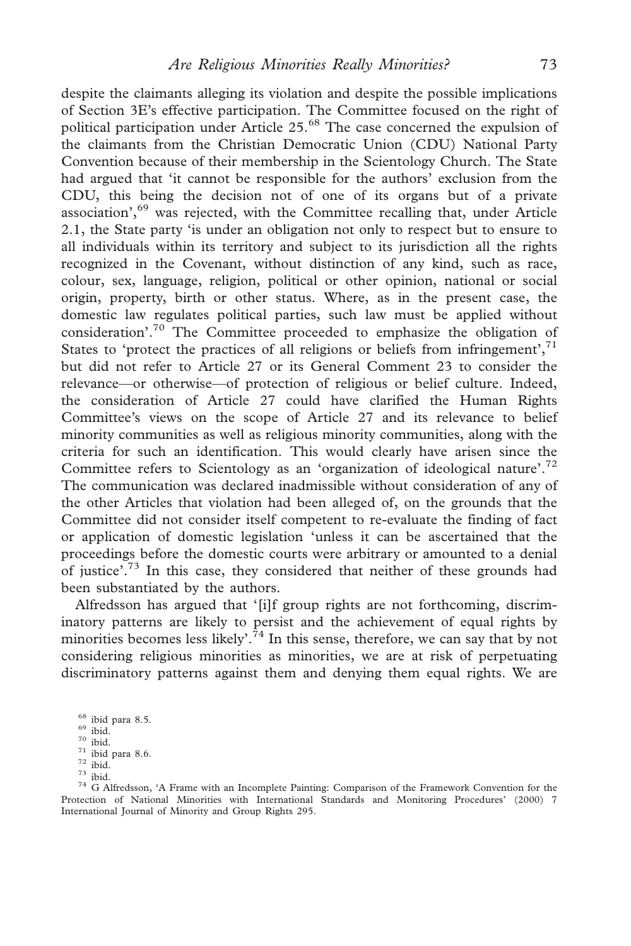despite the claimants alleging its violation and despite the possible implications of Section 3E's effective participation. The Committee focused on the right of political participation under Article 25.<sup>68</sup> The case concerned the expulsion of the claimants from the Christian Democratic Union (CDU) National Party Convention because of their membership in the Scientology Church. The State had argued that 'it cannot be responsible for the authors' exclusion from the CDU, this being the decision not of one of its organs but of a private association', $69$  was rejected, with the Committee recalling that, under Article 2.1, the State party 'is under an obligation not only to respect but to ensure to all individuals within its territory and subject to its jurisdiction all the rights recognized in the Covenant, without distinction of any kind, such as race, colour, sex, language, religion, political or other opinion, national or social origin, property, birth or other status. Where, as in the present case, the domestic law regulates political parties, such law must be applied without consideration'.<sup>70</sup> The Committee proceeded to emphasize the obligation of States to 'protect the practices of all religions or beliefs from infringement',<sup>71</sup> but did not refer to Article 27 or its General Comment 23 to consider the relevance—or otherwise—of protection of religious or belief culture. Indeed, the consideration of Article 27 could have clarified the Human Rights Committee's views on the scope of Article 27 and its relevance to belief minority communities as well as religious minority communities, along with the criteria for such an identification. This would clearly have arisen since the Committee refers to Scientology as an 'organization of ideological nature'.<sup>72</sup> The communication was declared inadmissible without consideration of any of the other Articles that violation had been alleged of, on the grounds that the Committee did not consider itself competent to re-evaluate the finding of fact or application of domestic legislation 'unless it can be ascertained that the proceedings before the domestic courts were arbitrary or amounted to a denial of justice'.<sup>73</sup> In this case, they considered that neither of these grounds had been substantiated by the authors.

Alfredsson has argued that '[i]f group rights are not forthcoming, discriminatory patterns are likely to persist and the achievement of equal rights by minorities becomes less likely'.<sup>74</sup> In this sense, therefore, we can say that by not considering religious minorities as minorities, we are at risk of perpetuating discriminatory patterns against them and denying them equal rights. We are

<sup>&</sup>lt;sup>68</sup> ibid para 8.5.<br><sup>69</sup> ibid. 70 ibid.<br><sup>71</sup> ibid. 74<br><sup>71</sup> ibid. 74 G Alfredsson, 'A Frame with an Incomplete Painting: Comparison of the Framework Convention for the Protection of National Minorities with International Standards and Monitoring Procedures' (2000) 7 International Journal of Minority and Group Rights 295.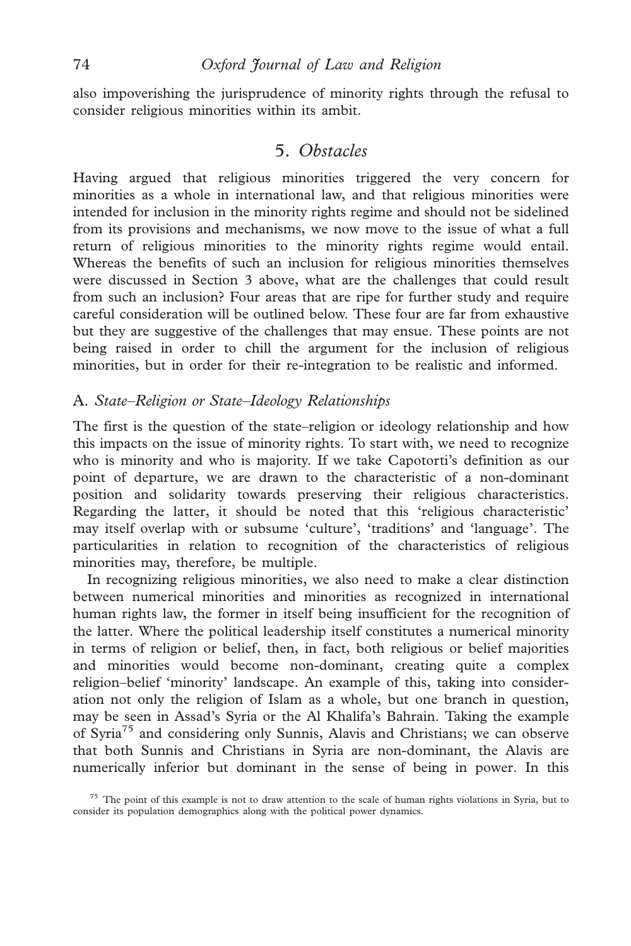also impoverishing the jurisprudence of minority rights through the refusal to consider religious minorities within its ambit.

# 5. Obstacles

Having argued that religious minorities triggered the very concern for minorities as a whole in international law, and that religious minorities were intended for inclusion in the minority rights regime and should not be sidelined from its provisions and mechanisms, we now move to the issue of what a full return of religious minorities to the minority rights regime would entail. Whereas the benefits of such an inclusion for religious minorities themselves were discussed in Section 3 above, what are the challenges that could result from such an inclusion? Four areas that are ripe for further study and require careful consideration will be outlined below. These four are far from exhaustive but they are suggestive of the challenges that may ensue. These points are not being raised in order to chill the argument for the inclusion of religious minorities, but in order for their re-integration to be realistic and informed.

## A. State–Religion or State–Ideology Relationships

The first is the question of the state–religion or ideology relationship and how this impacts on the issue of minority rights. To start with, we need to recognize who is minority and who is majority. If we take Capotorti's definition as our point of departure, we are drawn to the characteristic of a non-dominant position and solidarity towards preserving their religious characteristics. Regarding the latter, it should be noted that this 'religious characteristic' may itself overlap with or subsume 'culture', 'traditions' and 'language'. The particularities in relation to recognition of the characteristics of religious minorities may, therefore, be multiple.

In recognizing religious minorities, we also need to make a clear distinction between numerical minorities and minorities as recognized in international human rights law, the former in itself being insufficient for the recognition of the latter. Where the political leadership itself constitutes a numerical minority in terms of religion or belief, then, in fact, both religious or belief majorities and minorities would become non-dominant, creating quite a complex religion–belief 'minority' landscape. An example of this, taking into consideration not only the religion of Islam as a whole, but one branch in question, may be seen in Assad's Syria or the Al Khalifa's Bahrain. Taking the example of Syria<sup>75</sup> and considering only Sunnis, Alavis and Christians; we can observe that both Sunnis and Christians in Syria are non-dominant, the Alavis are numerically inferior but dominant in the sense of being in power. In this

<sup>75</sup> The point of this example is not to draw attention to the scale of human rights violations in Syria, but to consider its population demographics along with the political power dynamics.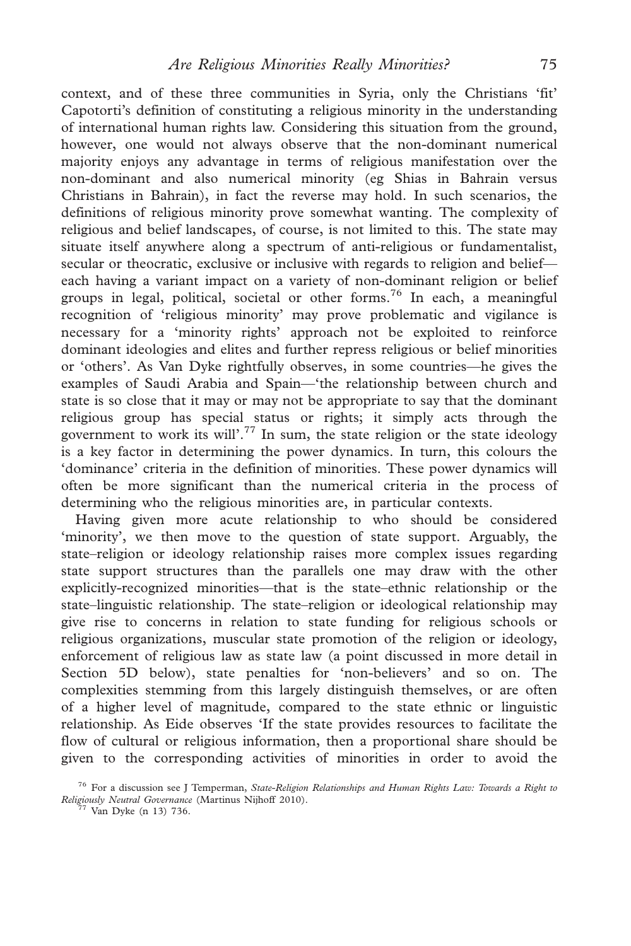context, and of these three communities in Syria, only the Christians 'fit' Capotorti's definition of constituting a religious minority in the understanding of international human rights law. Considering this situation from the ground, however, one would not always observe that the non-dominant numerical majority enjoys any advantage in terms of religious manifestation over the non-dominant and also numerical minority (eg Shias in Bahrain versus Christians in Bahrain), in fact the reverse may hold. In such scenarios, the definitions of religious minority prove somewhat wanting. The complexity of religious and belief landscapes, of course, is not limited to this. The state may situate itself anywhere along a spectrum of anti-religious or fundamentalist, secular or theocratic, exclusive or inclusive with regards to religion and belief each having a variant impact on a variety of non-dominant religion or belief groups in legal, political, societal or other forms.76 In each, a meaningful recognition of 'religious minority' may prove problematic and vigilance is necessary for a 'minority rights' approach not be exploited to reinforce dominant ideologies and elites and further repress religious or belief minorities or 'others'. As Van Dyke rightfully observes, in some countries—he gives the examples of Saudi Arabia and Spain—'the relationship between church and state is so close that it may or may not be appropriate to say that the dominant religious group has special status or rights; it simply acts through the government to work its will'.<sup>77</sup> In sum, the state religion or the state ideology is a key factor in determining the power dynamics. In turn, this colours the 'dominance' criteria in the definition of minorities. These power dynamics will often be more significant than the numerical criteria in the process of determining who the religious minorities are, in particular contexts.

Having given more acute relationship to who should be considered 'minority', we then move to the question of state support. Arguably, the state–religion or ideology relationship raises more complex issues regarding state support structures than the parallels one may draw with the other explicitly-recognized minorities—that is the state–ethnic relationship or the state–linguistic relationship. The state–religion or ideological relationship may give rise to concerns in relation to state funding for religious schools or religious organizations, muscular state promotion of the religion or ideology, enforcement of religious law as state law (a point discussed in more detail in Section 5D below), state penalties for 'non-believers' and so on. The complexities stemming from this largely distinguish themselves, or are often of a higher level of magnitude, compared to the state ethnic or linguistic relationship. As Eide observes 'If the state provides resources to facilitate the flow of cultural or religious information, then a proportional share should be given to the corresponding activities of minorities in order to avoid the

 $76$  For a discussion see J Temperman, State-Religion Relationships and Human Rights Law: Towards a Right to Religiously Neutral Governance (Martinus Nijhoff 2010). <sup>77</sup> Van Dyke (n 13) 736.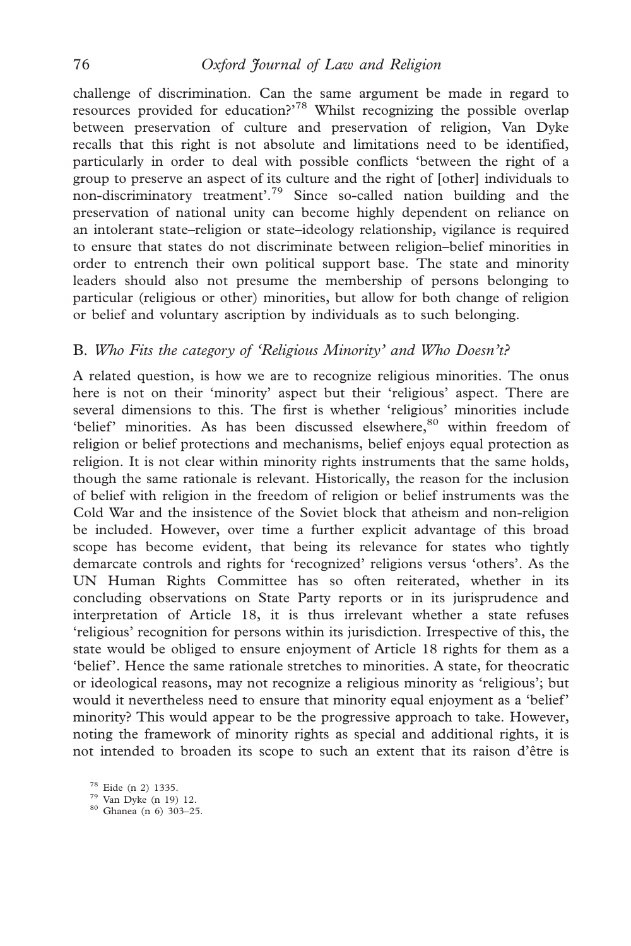challenge of discrimination. Can the same argument be made in regard to resources provided for education?<sup>78</sup> Whilst recognizing the possible overlap between preservation of culture and preservation of religion, Van Dyke recalls that this right is not absolute and limitations need to be identified, particularly in order to deal with possible conflicts 'between the right of a group to preserve an aspect of its culture and the right of [other] individuals to non-discriminatory treatment'.<sup>79</sup> Since so-called nation building and the preservation of national unity can become highly dependent on reliance on an intolerant state–religion or state–ideology relationship, vigilance is required to ensure that states do not discriminate between religion–belief minorities in order to entrench their own political support base. The state and minority leaders should also not presume the membership of persons belonging to particular (religious or other) minorities, but allow for both change of religion or belief and voluntary ascription by individuals as to such belonging.

## B. Who Fits the category of 'Religious Minority' and Who Doesn't?

A related question, is how we are to recognize religious minorities. The onus here is not on their 'minority' aspect but their 'religious' aspect. There are several dimensions to this. The first is whether 'religious' minorities include 'belief' minorities. As has been discussed elsewhere,<sup>80</sup> within freedom of religion or belief protections and mechanisms, belief enjoys equal protection as religion. It is not clear within minority rights instruments that the same holds, though the same rationale is relevant. Historically, the reason for the inclusion of belief with religion in the freedom of religion or belief instruments was the Cold War and the insistence of the Soviet block that atheism and non-religion be included. However, over time a further explicit advantage of this broad scope has become evident, that being its relevance for states who tightly demarcate controls and rights for 'recognized' religions versus 'others'. As the UN Human Rights Committee has so often reiterated, whether in its concluding observations on State Party reports or in its jurisprudence and interpretation of Article 18, it is thus irrelevant whether a state refuses 'religious' recognition for persons within its jurisdiction. Irrespective of this, the state would be obliged to ensure enjoyment of Article 18 rights for them as a 'belief'. Hence the same rationale stretches to minorities. A state, for theocratic or ideological reasons, may not recognize a religious minority as 'religious'; but would it nevertheless need to ensure that minority equal enjoyment as a 'belief' minority? This would appear to be the progressive approach to take. However, noting the framework of minority rights as special and additional rights, it is not intended to broaden its scope to such an extent that its raison d'être is

<sup>&</sup>lt;sup>78</sup> Eide (n 2) 1335.<br><sup>79</sup> Van Dyke (n 19) 12.<br><sup>80</sup> Ghanea (n 6) 303–25.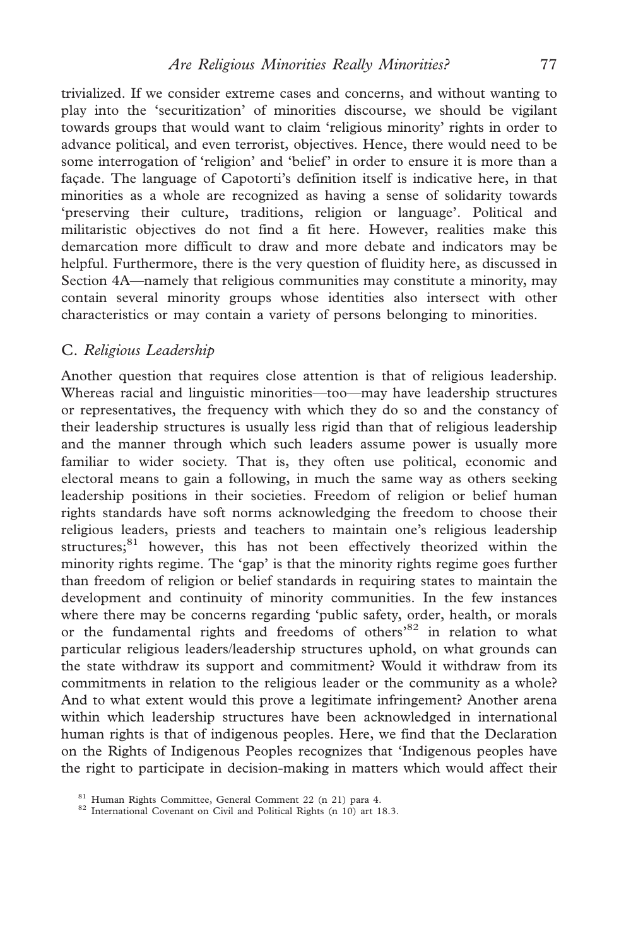trivialized. If we consider extreme cases and concerns, and without wanting to play into the 'securitization' of minorities discourse, we should be vigilant towards groups that would want to claim 'religious minority' rights in order to advance political, and even terrorist, objectives. Hence, there would need to be some interrogation of 'religion' and 'belief' in order to ensure it is more than a facade. The language of Capotorti's definition itself is indicative here, in that minorities as a whole are recognized as having a sense of solidarity towards 'preserving their culture, traditions, religion or language'. Political and militaristic objectives do not find a fit here. However, realities make this demarcation more difficult to draw and more debate and indicators may be helpful. Furthermore, there is the very question of fluidity here, as discussed in Section 4A—namely that religious communities may constitute a minority, may contain several minority groups whose identities also intersect with other characteristics or may contain a variety of persons belonging to minorities.

#### C. Religious Leadership

Another question that requires close attention is that of religious leadership. Whereas racial and linguistic minorities—too—may have leadership structures or representatives, the frequency with which they do so and the constancy of their leadership structures is usually less rigid than that of religious leadership and the manner through which such leaders assume power is usually more familiar to wider society. That is, they often use political, economic and electoral means to gain a following, in much the same way as others seeking leadership positions in their societies. Freedom of religion or belief human rights standards have soft norms acknowledging the freedom to choose their religious leaders, priests and teachers to maintain one's religious leadership structures;<sup>81</sup> however, this has not been effectively theorized within the minority rights regime. The 'gap' is that the minority rights regime goes further than freedom of religion or belief standards in requiring states to maintain the development and continuity of minority communities. In the few instances where there may be concerns regarding 'public safety, order, health, or morals or the fundamental rights and freedoms of others'<sup>82</sup> in relation to what particular religious leaders/leadership structures uphold, on what grounds can the state withdraw its support and commitment? Would it withdraw from its commitments in relation to the religious leader or the community as a whole? And to what extent would this prove a legitimate infringement? Another arena within which leadership structures have been acknowledged in international human rights is that of indigenous peoples. Here, we find that the Declaration on the Rights of Indigenous Peoples recognizes that 'Indigenous peoples have the right to participate in decision-making in matters which would affect their

<sup>&</sup>lt;sup>81</sup> Human Rights Committee, General Comment 22 (n 21) para 4.<br><sup>82</sup> International Covenant on Civil and Political Rights (n 10) art 18.3.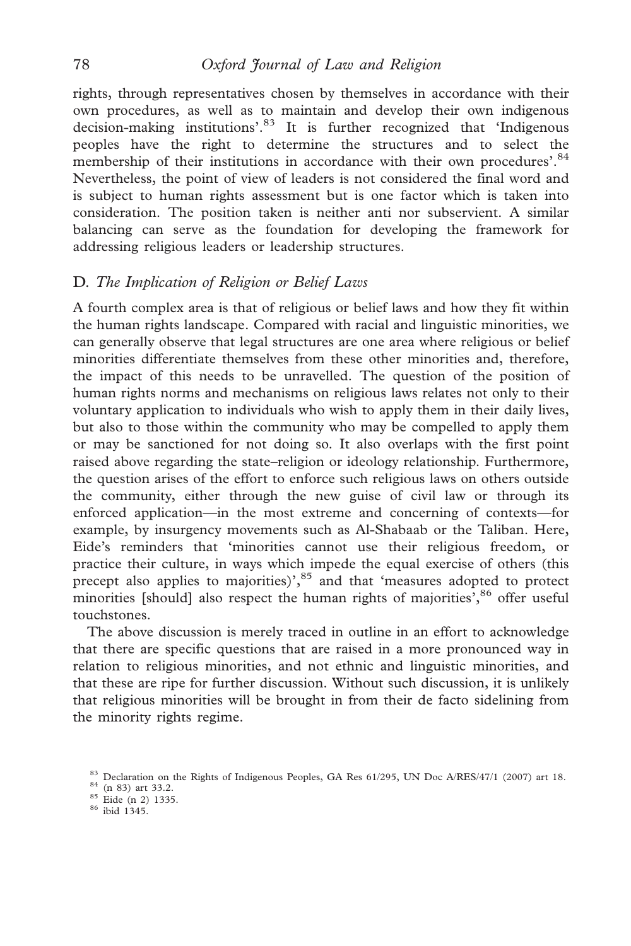## 78 Oxford Journal of Law and Religion

rights, through representatives chosen by themselves in accordance with their own procedures, as well as to maintain and develop their own indigenous decision-making institutions'.<sup>83</sup> It is further recognized that 'Indigenous peoples have the right to determine the structures and to select the membership of their institutions in accordance with their own procedures'.<sup>84</sup> Nevertheless, the point of view of leaders is not considered the final word and is subject to human rights assessment but is one factor which is taken into consideration. The position taken is neither anti nor subservient. A similar balancing can serve as the foundation for developing the framework for addressing religious leaders or leadership structures.

## D. The Implication of Religion or Belief Laws

A fourth complex area is that of religious or belief laws and how they fit within the human rights landscape. Compared with racial and linguistic minorities, we can generally observe that legal structures are one area where religious or belief minorities differentiate themselves from these other minorities and, therefore, the impact of this needs to be unravelled. The question of the position of human rights norms and mechanisms on religious laws relates not only to their voluntary application to individuals who wish to apply them in their daily lives, but also to those within the community who may be compelled to apply them or may be sanctioned for not doing so. It also overlaps with the first point raised above regarding the state–religion or ideology relationship. Furthermore, the question arises of the effort to enforce such religious laws on others outside the community, either through the new guise of civil law or through its enforced application—in the most extreme and concerning of contexts—for example, by insurgency movements such as Al-Shabaab or the Taliban. Here, Eide's reminders that 'minorities cannot use their religious freedom, or practice their culture, in ways which impede the equal exercise of others (this precept also applies to majorities)',<sup>85</sup> and that 'measures adopted to protect minorities [should] also respect the human rights of majorities', <sup>86</sup> offer useful touchstones.

The above discussion is merely traced in outline in an effort to acknowledge that there are specific questions that are raised in a more pronounced way in relation to religious minorities, and not ethnic and linguistic minorities, and that these are ripe for further discussion. Without such discussion, it is unlikely that religious minorities will be brought in from their de facto sidelining from the minority rights regime.

<sup>&</sup>lt;sup>83</sup> Declaration on the Rights of Indigenous Peoples, GA Res 61/295, UN Doc A/RES/47/1 (2007) art 18.<br><sup>84</sup> (n 83) art 33.2.<br><sup>85</sup> Eide (n 2) 1335. 86 ibid 1345.